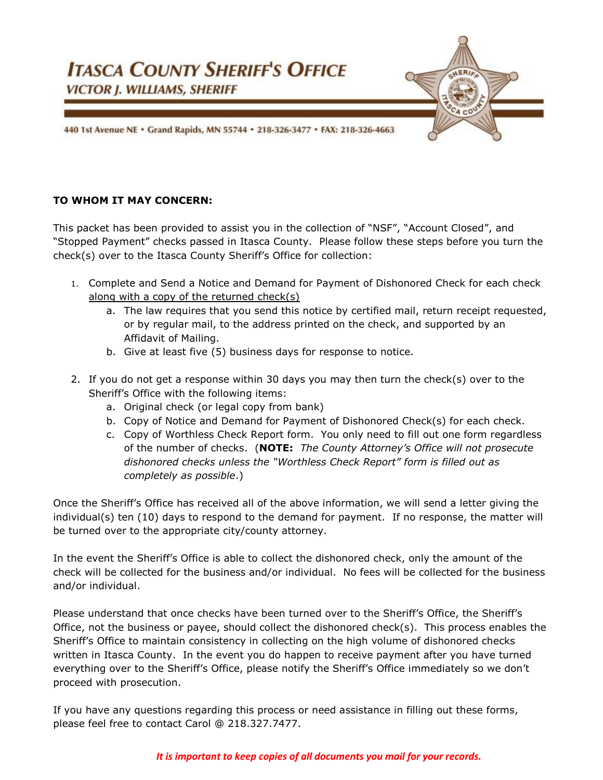

### **TO WHOM IT MAY CONCERN:**

This packet has been provided to assist you in the collection of "NSF", "Account Closed", and "Stopped Payment" checks passed in Itasca County. Please follow these steps before you turn the check(s) over to the Itasca County Sheriff's Office for collection:

- 1. Complete and Send a Notice and Demand for Payment of Dishonored Check for each check along with a copy of the returned check(s)
	- a. The law requires that you send this notice by certified mail, return receipt requested, or by regular mail, to the address printed on the check, and supported by an Affidavit of Mailing.
	- b. Give at least five (5) business days for response to notice.
- 2. If you do not get a response within 30 days you may then turn the check(s) over to the Sheriff's Office with the following items:
	- a. Original check (or legal copy from bank)
	- b. Copy of Notice and Demand for Payment of Dishonored Check(s) for each check.
	- c. Copy of Worthless Check Report form. You only need to fill out one form regardless of the number of checks. (**NOTE:** *The County Attorney's Office will not prosecute dishonored checks unless the "Worthless Check Report" form is filled out as completely as possible*.)

Once the Sheriff's Office has received all of the above information, we will send a letter giving the individual(s) ten (10) days to respond to the demand for payment. If no response, the matter will be turned over to the appropriate city/county attorney.

In the event the Sheriff's Office is able to collect the dishonored check, only the amount of the check will be collected for the business and/or individual. No fees will be collected for the business and/or individual.

Please understand that once checks have been turned over to the Sheriff's Office, the Sheriff's Office, not the business or payee, should collect the dishonored check(s). This process enables the Sheriff's Office to maintain consistency in collecting on the high volume of dishonored checks written in Itasca County. In the event you do happen to receive payment after you have turned everything over to the Sheriff's Office, please notify the Sheriff's Office immediately so we don't proceed with prosecution.

If you have any questions regarding this process or need assistance in filling out these forms, please feel free to contact Carol @ 218.327.7477.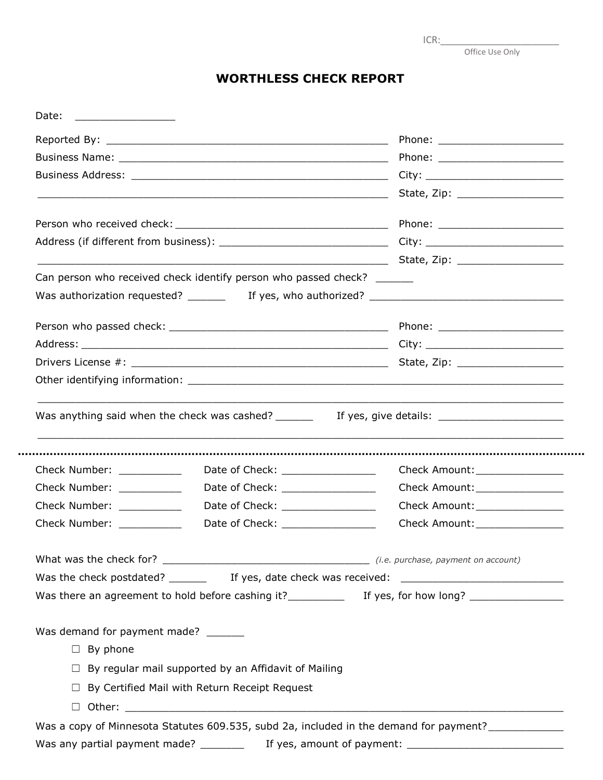| ICR: |  |  |
|------|--|--|
|      |  |  |

Office Use Only

# **WORTHLESS CHECK REPORT**

|                                                                                                                 |                                                                          | State, Zip: _____________________                                                                    |
|-----------------------------------------------------------------------------------------------------------------|--------------------------------------------------------------------------|------------------------------------------------------------------------------------------------------|
|                                                                                                                 |                                                                          |                                                                                                      |
|                                                                                                                 |                                                                          |                                                                                                      |
|                                                                                                                 |                                                                          |                                                                                                      |
|                                                                                                                 | Can person who received check identify person who passed check? ________ |                                                                                                      |
|                                                                                                                 |                                                                          |                                                                                                      |
|                                                                                                                 |                                                                          |                                                                                                      |
|                                                                                                                 |                                                                          |                                                                                                      |
|                                                                                                                 |                                                                          |                                                                                                      |
|                                                                                                                 |                                                                          |                                                                                                      |
|                                                                                                                 |                                                                          | Was anything said when the check was cashed? __________ If yes, give details: ______________________ |
|                                                                                                                 | Date of Check: __________________                                        | Check Amount:_________________                                                                       |
|                                                                                                                 | Date of Check: _________________                                         | Check Amount:________________                                                                        |
|                                                                                                                 | Date of Check: _________________                                         | Check Amount: _______________                                                                        |
|                                                                                                                 | Date of Check: The Change of Check:                                      | Check Amount: ________________                                                                       |
|                                                                                                                 |                                                                          |                                                                                                      |
|                                                                                                                 |                                                                          |                                                                                                      |
| Check Number: __________<br>Check Number: ___________<br>Check Number: ___________<br>Check Number: ___________ |                                                                          |                                                                                                      |
|                                                                                                                 |                                                                          |                                                                                                      |
|                                                                                                                 |                                                                          |                                                                                                      |
| $\Box$ By phone                                                                                                 | $\Box$ By regular mail supported by an Affidavit of Mailing              |                                                                                                      |
| Was demand for payment made? ______                                                                             | $\Box$ By Certified Mail with Return Receipt Request                     |                                                                                                      |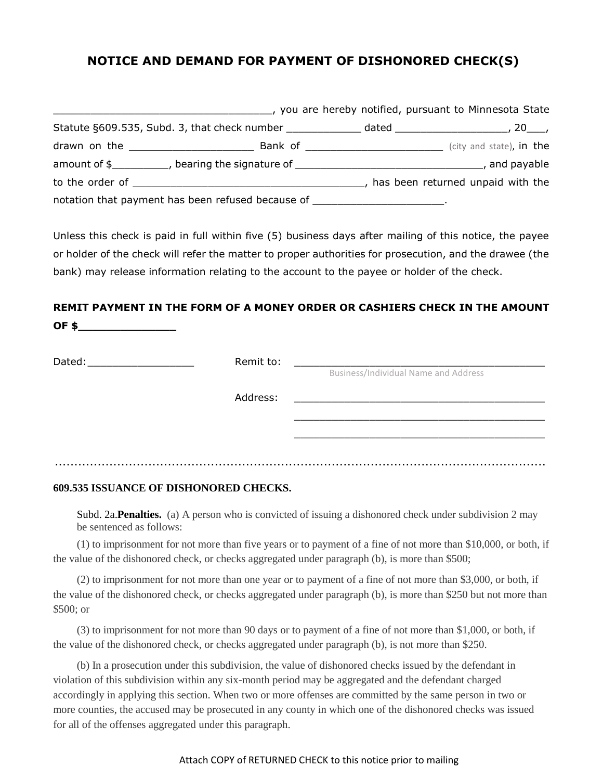# **NOTICE AND DEMAND FOR PAYMENT OF DISHONORED CHECK(S)**

|                                                                                                                                                                                                                                |                                                                                   | , you are hereby notified, pursuant to Minnesota State |
|--------------------------------------------------------------------------------------------------------------------------------------------------------------------------------------------------------------------------------|-----------------------------------------------------------------------------------|--------------------------------------------------------|
|                                                                                                                                                                                                                                | Statute §609.535, Subd. 3, that check number                                      |                                                        |
|                                                                                                                                                                                                                                |                                                                                   | (city and state), in the                               |
|                                                                                                                                                                                                                                | amount of \$____________, bearing the signature of ______________________________ | and payable                                            |
| to the order of which is a set of the order of which is a set of the set of the set of the set of the set of the set of the set of the set of the set of the set of the set of the set of the set of the set of the set of the |                                                                                   | has been returned unpaid with the                      |
|                                                                                                                                                                                                                                | notation that payment has been refused because of ________________________.       |                                                        |

Unless this check is paid in full within five (5) business days after mailing of this notice, the payee or holder of the check will refer the matter to proper authorities for prosecution, and the drawee (the bank) may release information relating to the account to the payee or holder of the check.

## **REMIT PAYMENT IN THE FORM OF A MONEY ORDER OR CASHIERS CHECK IN THE AMOUNT OF \$\_\_\_\_\_\_\_\_\_\_\_\_\_\_**

| Dated: | Remit to: | Business/Individual Name and Address |
|--------|-----------|--------------------------------------|
|        | Address:  |                                      |
|        |           |                                      |
|        |           | .<br>.                               |

### **609.535 ISSUANCE OF DISHONORED CHECKS.**

Subd. 2a.**Penalties.** (a) A person who is convicted of issuing a dishonored check under subdivision 2 may be sentenced as follows:

(1) to imprisonment for not more than five years or to payment of a fine of not more than \$10,000, or both, if the value of the dishonored check, or checks aggregated under paragraph (b), is more than \$500;

(2) to imprisonment for not more than one year or to payment of a fine of not more than \$3,000, or both, if the value of the dishonored check, or checks aggregated under paragraph (b), is more than \$250 but not more than \$500; or

(3) to imprisonment for not more than 90 days or to payment of a fine of not more than \$1,000, or both, if the value of the dishonored check, or checks aggregated under paragraph (b), is not more than \$250.

(b) In a prosecution under this subdivision, the value of dishonored checks issued by the defendant in violation of this subdivision within any six-month period may be aggregated and the defendant charged accordingly in applying this section. When two or more offenses are committed by the same person in two or more counties, the accused may be prosecuted in any county in which one of the dishonored checks was issued for all of the offenses aggregated under this paragraph.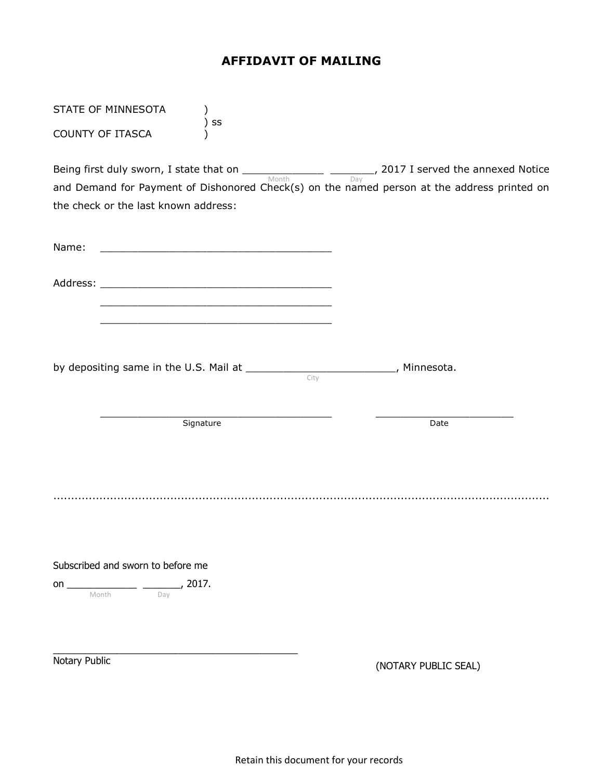# **AFFIDAVIT OF MAILING**

| STATE OF MINNESOTA                                                                                                                                                                                                                                                                                                                                                         |                      |
|----------------------------------------------------------------------------------------------------------------------------------------------------------------------------------------------------------------------------------------------------------------------------------------------------------------------------------------------------------------------------|----------------------|
| SS<br><b>COUNTY OF ITASCA</b>                                                                                                                                                                                                                                                                                                                                              |                      |
| Being first duly sworn, I state that on $\frac{1}{\text{Month}}$ $\frac{1}{\text{Month}}$ , 2017 I served the annexed Notice<br>and Demand for Payment of Dishonored Check(s) on the named person at the address printed on<br>the check or the last known address:                                                                                                        |                      |
| Name:<br><u> 1989 - Johann John Harry Harry Harry Harry Harry Harry Harry Harry Harry Harry Harry Harry Harry Harry Harry H</u>                                                                                                                                                                                                                                            |                      |
| <u> 1989 - Jan Samuel Barbara, margaret eta idazlea (h. 1989).</u><br><u> 1989 - Johann Barn, mars ann an t-Amhain an t-Amhain an t-Amhain an t-Amhain an t-Amhain an t-Amhain an t-Amh</u>                                                                                                                                                                                |                      |
| by depositing same in the U.S. Mail at _____________________________, Minnesota.<br>City                                                                                                                                                                                                                                                                                   |                      |
| Signature                                                                                                                                                                                                                                                                                                                                                                  | Date                 |
|                                                                                                                                                                                                                                                                                                                                                                            |                      |
| Subscribed and sworn to before me<br>on $\frac{1}{\sqrt{2}}$ Month $\frac{1}{\sqrt{2}}$ and $\frac{1}{\sqrt{2}}$ and $\frac{1}{\sqrt{2}}$ and $\frac{1}{\sqrt{2}}$ and $\frac{1}{\sqrt{2}}$ and $\frac{1}{\sqrt{2}}$ and $\frac{1}{\sqrt{2}}$ and $\frac{1}{\sqrt{2}}$ and $\frac{1}{\sqrt{2}}$ and $\frac{1}{\sqrt{2}}$ and $\frac{1}{\sqrt{2}}$ and $\frac{1}{\sqrt{2}}$ |                      |
| Notary Public                                                                                                                                                                                                                                                                                                                                                              | (NOTARY PUBLIC SEAL) |